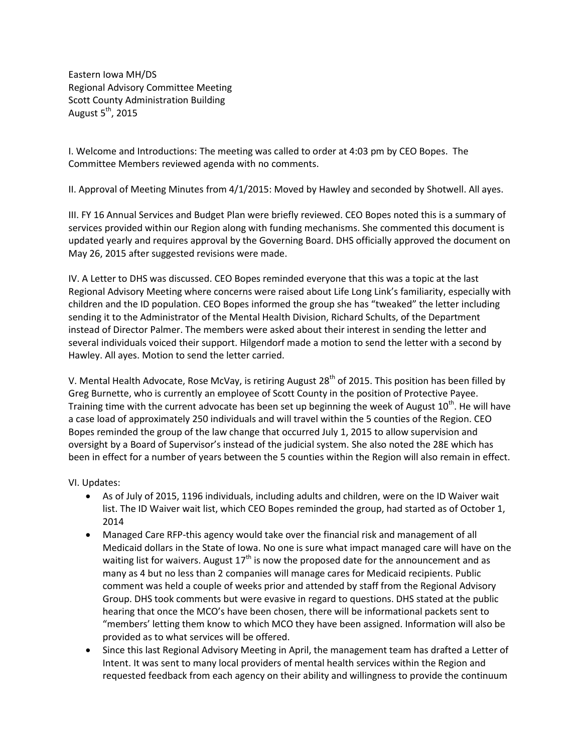Eastern Iowa MH/DS Regional Advisory Committee Meeting Scott County Administration Building August  $5<sup>th</sup>$ , 2015

I. Welcome and Introductions: The meeting was called to order at 4:03 pm by CEO Bopes. The Committee Members reviewed agenda with no comments.

II. Approval of Meeting Minutes from 4/1/2015: Moved by Hawley and seconded by Shotwell. All ayes.

III. FY 16 Annual Services and Budget Plan were briefly reviewed. CEO Bopes noted this is a summary of services provided within our Region along with funding mechanisms. She commented this document is updated yearly and requires approval by the Governing Board. DHS officially approved the document on May 26, 2015 after suggested revisions were made.

IV. A Letter to DHS was discussed. CEO Bopes reminded everyone that this was a topic at the last Regional Advisory Meeting where concerns were raised about Life Long Link's familiarity, especially with children and the ID population. CEO Bopes informed the group she has "tweaked" the letter including sending it to the Administrator of the Mental Health Division, Richard Schults, of the Department instead of Director Palmer. The members were asked about their interest in sending the letter and several individuals voiced their support. Hilgendorf made a motion to send the letter with a second by Hawley. All ayes. Motion to send the letter carried.

V. Mental Health Advocate, Rose McVay, is retiring August  $28<sup>th</sup>$  of 2015. This position has been filled by Greg Burnette, who is currently an employee of Scott County in the position of Protective Payee. Training time with the current advocate has been set up beginning the week of August 10<sup>th</sup>. He will have a case load of approximately 250 individuals and will travel within the 5 counties of the Region. CEO Bopes reminded the group of the law change that occurred July 1, 2015 to allow supervision and oversight by a Board of Supervisor's instead of the judicial system. She also noted the 28E which has been in effect for a number of years between the 5 counties within the Region will also remain in effect.

VI. Updates:

- As of July of 2015, 1196 individuals, including adults and children, were on the ID Waiver wait list. The ID Waiver wait list, which CEO Bopes reminded the group, had started as of October 1, 2014
- Managed Care RFP-this agency would take over the financial risk and management of all Medicaid dollars in the State of Iowa. No one is sure what impact managed care will have on the waiting list for waivers. August  $17<sup>th</sup>$  is now the proposed date for the announcement and as many as 4 but no less than 2 companies will manage cares for Medicaid recipients. Public comment was held a couple of weeks prior and attended by staff from the Regional Advisory Group. DHS took comments but were evasive in regard to questions. DHS stated at the public hearing that once the MCO's have been chosen, there will be informational packets sent to "members' letting them know to which MCO they have been assigned. Information will also be provided as to what services will be offered.
- Since this last Regional Advisory Meeting in April, the management team has drafted a Letter of Intent. It was sent to many local providers of mental health services within the Region and requested feedback from each agency on their ability and willingness to provide the continuum